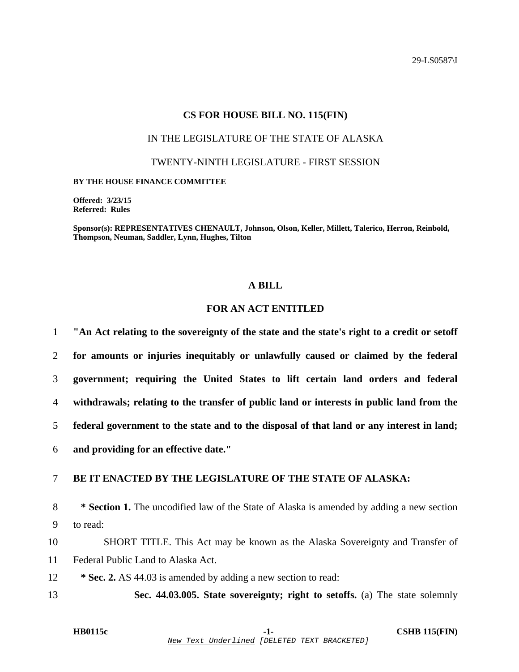29-LS0587\I

### **CS FOR HOUSE BILL NO. 115(FIN)**

### IN THE LEGISLATURE OF THE STATE OF ALASKA

TWENTY-NINTH LEGISLATURE - FIRST SESSION

#### **BY THE HOUSE FINANCE COMMITTEE**

**Offered: 3/23/15 Referred: Rules** 

**Sponsor(s): REPRESENTATIVES CHENAULT, Johnson, Olson, Keller, Millett, Talerico, Herron, Reinbold, Thompson, Neuman, Saddler, Lynn, Hughes, Tilton** 

## **A BILL**

# **FOR AN ACT ENTITLED**

**"An Act relating to the sovereignty of the state and the state's right to a credit or setoff for amounts or injuries inequitably or unlawfully caused or claimed by the federal government; requiring the United States to lift certain land orders and federal withdrawals; relating to the transfer of public land or interests in public land from the federal government to the state and to the disposal of that land or any interest in land; and providing for an effective date."** 

# 7 **BE IT ENACTED BY THE LEGISLATURE OF THE STATE OF ALASKA:**

8 **\* Section 1.** The uncodified law of the State of Alaska is amended by adding a new section 9 to read:

10 SHORT TITLE. This Act may be known as the Alaska Sovereignty and Transfer of 11 Federal Public Land to Alaska Act.

12 **\* Sec. 2.** AS 44.03 is amended by adding a new section to read:

13 **Sec. 44.03.005. State sovereignty; right to setoffs.** (a) The state solemnly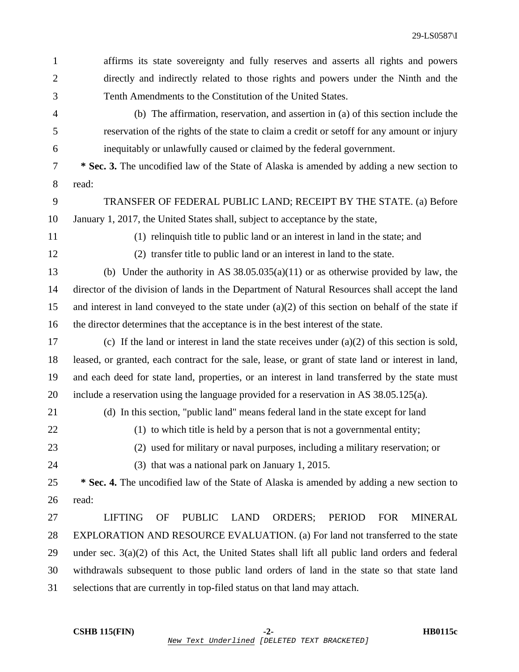| $\mathbf{1}$   | affirms its state sovereignty and fully reserves and asserts all rights and powers                                      |
|----------------|-------------------------------------------------------------------------------------------------------------------------|
| $\mathfrak{2}$ | directly and indirectly related to those rights and powers under the Ninth and the                                      |
| 3              | Tenth Amendments to the Constitution of the United States.                                                              |
| $\overline{4}$ | (b) The affirmation, reservation, and assertion in (a) of this section include the                                      |
| 5              | reservation of the rights of the state to claim a credit or set of for any amount or injury                             |
| 6              | inequitably or unlawfully caused or claimed by the federal government.                                                  |
| $\tau$         | * Sec. 3. The uncodified law of the State of Alaska is amended by adding a new section to                               |
| $8\,$          | read:                                                                                                                   |
| 9              | TRANSFER OF FEDERAL PUBLIC LAND; RECEIPT BY THE STATE. (a) Before                                                       |
| 10             | January 1, 2017, the United States shall, subject to acceptance by the state,                                           |
| 11             | (1) relinquish title to public land or an interest in land in the state; and                                            |
| 12             | (2) transfer title to public land or an interest in land to the state.                                                  |
| 13             | (b) Under the authority in AS $38.05.035(a)(11)$ or as otherwise provided by law, the                                   |
| 14             | director of the division of lands in the Department of Natural Resources shall accept the land                          |
| 15             | and interest in land conveyed to the state under $(a)(2)$ of this section on behalf of the state if                     |
| 16             | the director determines that the acceptance is in the best interest of the state.                                       |
| 17             | (c) If the land or interest in land the state receives under $(a)(2)$ of this section is sold,                          |
| 18             | leased, or granted, each contract for the sale, lease, or grant of state land or interest in land,                      |
| 19             | and each deed for state land, properties, or an interest in land transferred by the state must                          |
| 20             | include a reservation using the language provided for a reservation in AS 38.05.125(a).                                 |
| 21             | (d) In this section, "public land" means federal land in the state except for land                                      |
| 22             | (1) to which title is held by a person that is not a governmental entity;                                               |
| 23             | (2) used for military or naval purposes, including a military reservation; or                                           |
| 24             | (3) that was a national park on January 1, 2015.                                                                        |
| 25             | * Sec. 4. The uncodified law of the State of Alaska is amended by adding a new section to                               |
| 26             | read:                                                                                                                   |
| 27             | <b>LIFTING</b><br><b>PUBLIC</b><br><b>LAND</b><br><b>ORDERS;</b><br><b>PERIOD</b><br><b>FOR</b><br><b>MINERAL</b><br>OF |
| 28             | EXPLORATION AND RESOURCE EVALUATION. (a) For land not transferred to the state                                          |
| 29             | under sec. $3(a)(2)$ of this Act, the United States shall lift all public land orders and federal                       |
| 30             | withdrawals subsequent to those public land orders of land in the state so that state land                              |
| 31             | selections that are currently in top-filed status on that land may attach.                                              |